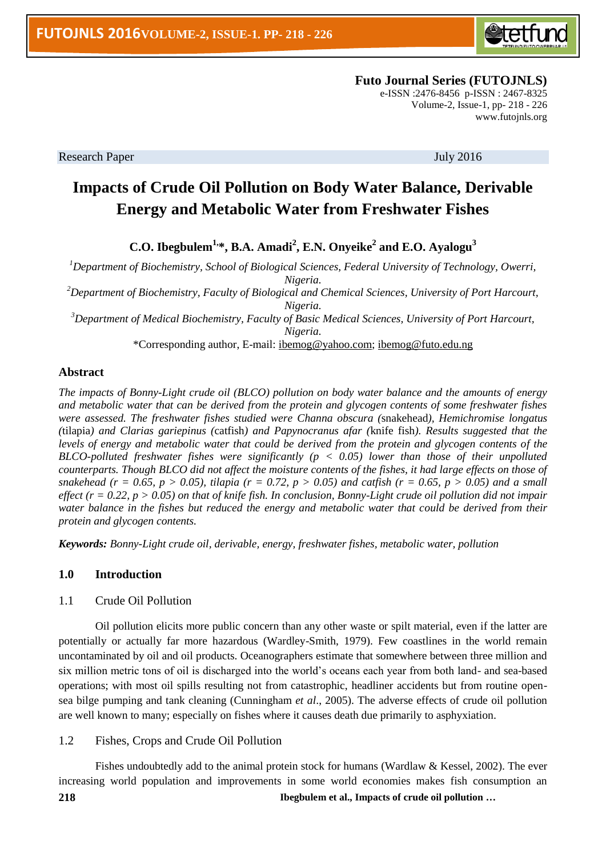

 **Futo Journal Series (FUTOJNLS)**

e-ISSN :2476-8456 p-ISSN : 2467-8325 Volume-2, Issue-1, pp- 218 - 226 [www.futojnls.org](http://www.futojnls.org/)

Research Paper July 2016

# **Impacts of Crude Oil Pollution on Body Water Balance, Derivable Energy and Metabolic Water from Freshwater Fishes**

**C.O. Ibegbulem1,\*, B.A. Amadi<sup>2</sup> , E.N. Onyeike<sup>2</sup> and E.O. Ayalogu<sup>3</sup>**

*<sup>1</sup>Department of Biochemistry, School of Biological Sciences, Federal University of Technology, Owerri, Nigeria.*

*<sup>2</sup>Department of Biochemistry, Faculty of Biological and Chemical Sciences, University of Port Harcourt, Nigeria.*

*<sup>3</sup>Department of Medical Biochemistry, Faculty of Basic Medical Sciences, University of Port Harcourt, Nigeria.*

\*Corresponding author, E-mail: [ibemog@yahoo.com;](mailto:ibemog@yahoo.com) [ibemog@futo.edu.ng](mailto:ibemog@futo.edu.ng)

## **Abstract**

*The impacts of Bonny-Light crude oil (BLCO) pollution on body water balance and the amounts of energy and metabolic water that can be derived from the protein and glycogen contents of some freshwater fishes were assessed. The freshwater fishes studied were Channa obscura (*snakehead*), Hemichromise longatus (*tilapia*) and Clarias gariepinus (*catfish*) and Papynocranus afar (*knife fish*). Results suggested that the levels of energy and metabolic water that could be derived from the protein and glycogen contents of the BLCO-polluted freshwater fishes were significantly (p < 0.05) lower than those of their unpolluted counterparts. Though BLCO did not affect the moisture contents of the fishes, it had large effects on those of snakehead (r = 0.65, p > 0.05), tilapia (r = 0.72, p > 0.05) and catfish (r = 0.65, p > 0.05) and a small effect (r = 0.22, p > 0.05) on that of knife fish. In conclusion, Bonny-Light crude oil pollution did not impair water balance in the fishes but reduced the energy and metabolic water that could be derived from their protein and glycogen contents.*

*Keywords: Bonny-Light crude oil, derivable, energy, freshwater fishes, metabolic water, pollution*

## **1.0 Introduction**

#### 1.1 Crude Oil Pollution

Oil pollution elicits more public concern than any other waste or spilt material, even if the latter are potentially or actually far more hazardous (Wardley-Smith, 1979). Few coastlines in the world remain uncontaminated by oil and oil products. Oceanographers estimate that somewhere between three million and six million metric tons of oil is discharged into the world's oceans each year from both land- and sea-based operations; with most oil spills resulting not from catastrophic, headliner accidents but from routine opensea bilge pumping and tank cleaning (Cunningham *et al*., 2005). The adverse effects of crude oil pollution are well known to many; especially on fishes where it causes death due primarily to asphyxiation.

#### 1.2 Fishes, Crops and Crude Oil Pollution

**218 Ibegbulem et al., Impacts of crude oil pollution …** Fishes undoubtedly add to the animal protein stock for humans (Wardlaw & Kessel, 2002). The ever increasing world population and improvements in some world economies makes fish consumption an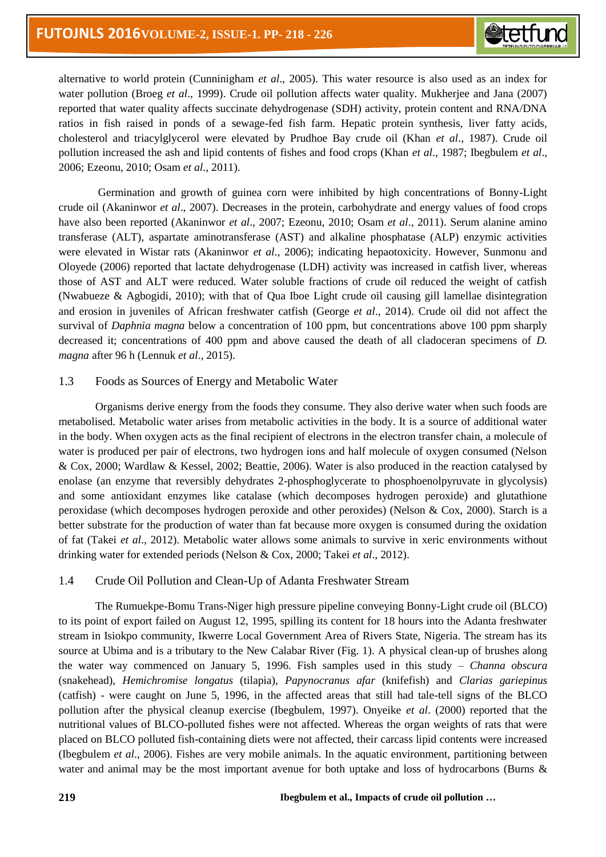alternative to world protein (Cunninigham *et al*., 2005). This water resource is also used as an index for water pollution (Broeg *et al*., 1999). Crude oil pollution affects water quality. Mukherjee and Jana (2007) reported that water quality affects succinate dehydrogenase (SDH) activity, protein content and RNA/DNA ratios in fish raised in ponds of a sewage-fed fish farm. Hepatic protein synthesis, liver fatty acids, cholesterol and triacylglycerol were elevated by Prudhoe Bay crude oil (Khan *et al*., 1987). Crude oil pollution increased the ash and lipid contents of fishes and food crops (Khan *et al*., 1987; Ibegbulem *et al*., 2006; Ezeonu, 2010; Osam *et al*., 2011).

Germination and growth of guinea corn were inhibited by high concentrations of Bonny-Light crude oil (Akaninwor *et al*., 2007). Decreases in the protein, carbohydrate and energy values of food crops have also been reported (Akaninwor *et al*., 2007; Ezeonu, 2010; Osam *et al*., 2011). Serum alanine amino transferase (ALT), aspartate aminotransferase (AST) and alkaline phosphatase (ALP) enzymic activities were elevated in Wistar rats (Akaninwor *et al*., 2006); indicating hepaotoxicity. However, Sunmonu and Oloyede (2006) reported that lactate dehydrogenase (LDH) activity was increased in catfish liver, whereas those of AST and ALT were reduced. Water soluble fractions of crude oil reduced the weight of catfish (Nwabueze & Agbogidi, 2010); with that of Qua Iboe Light crude oil causing gill lamellae disintegration and erosion in juveniles of African freshwater catfish (George *et al*., 2014). Crude oil did not affect the survival of *Daphnia magna* below a concentration of 100 ppm, but concentrations above 100 ppm sharply decreased it; concentrations of 400 ppm and above caused the death of all cladoceran specimens of *D. magna* after 96 h (Lennuk *et al*., 2015).

# 1.3 Foods as Sources of Energy and Metabolic Water

Organisms derive energy from the foods they consume. They also derive water when such foods are metabolised. Metabolic water arises from metabolic activities in the body. It is a source of additional water in the body. When oxygen acts as the final recipient of electrons in the electron transfer chain, a molecule of water is produced per pair of electrons, two hydrogen ions and half molecule of oxygen consumed (Nelson & Cox, 2000; Wardlaw & Kessel, 2002; Beattie, 2006). Water is also produced in the reaction catalysed by enolase (an enzyme that reversibly dehydrates 2-phosphoglycerate to phosphoenolpyruvate in glycolysis) and some antioxidant enzymes like catalase (which decomposes hydrogen peroxide) and glutathione peroxidase (which decomposes hydrogen peroxide and other peroxides) (Nelson & Cox, 2000). Starch is a better substrate for the production of water than fat because more oxygen is consumed during the oxidation of fat (Takei *et al*., 2012). Metabolic water allows some animals to survive in xeric environments without drinking water for extended periods (Nelson & Cox, 2000; Takei *et al*., 2012).

# 1.4 Crude Oil Pollution and Clean-Up of Adanta Freshwater Stream

The Rumuekpe-Bomu Trans-Niger high pressure pipeline conveying Bonny-Light crude oil (BLCO) to its point of export failed on August 12, 1995, spilling its content for 18 hours into the Adanta freshwater stream in Isiokpo community, Ikwerre Local Government Area of Rivers State, Nigeria. The stream has its source at Ubima and is a tributary to the New Calabar River (Fig. 1). A physical clean-up of brushes along the water way commenced on January 5, 1996. Fish samples used in this study – *Channa obscura* (snakehead), *Hemichromise longatus* (tilapia), *Papynocranus afar* (knifefish) and *Clarias gariepinus* (catfish) - were caught on June 5, 1996, in the affected areas that still had tale-tell signs of the BLCO pollution after the physical cleanup exercise (Ibegbulem, 1997). Onyeike *et al*. (2000) reported that the nutritional values of BLCO-polluted fishes were not affected. Whereas the organ weights of rats that were placed on BLCO polluted fish-containing diets were not affected, their carcass lipid contents were increased (Ibegbulem *et al*., 2006). Fishes are very mobile animals. In the aquatic environment, partitioning between water and animal may be the most important avenue for both uptake and loss of hydrocarbons (Burns &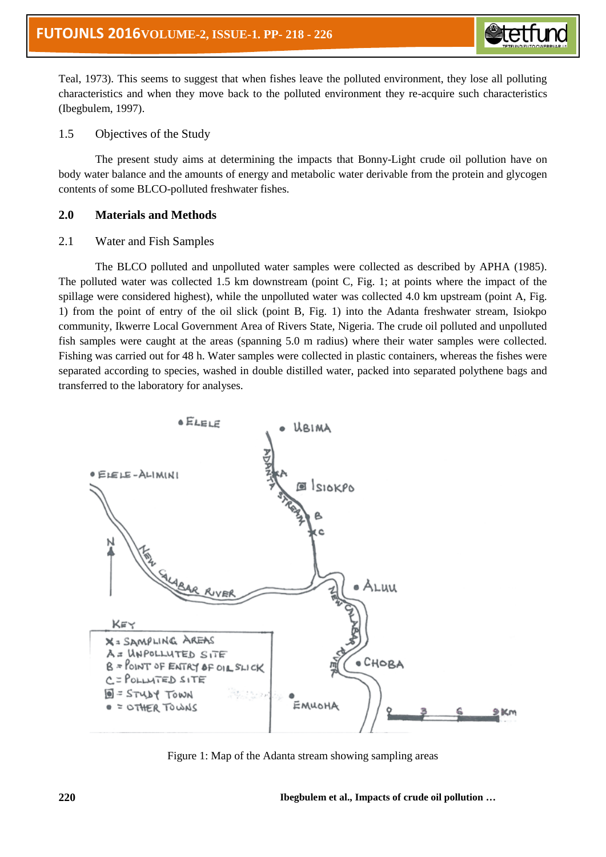Teal, 1973). This seems to suggest that when fishes leave the polluted environment, they lose all polluting characteristics and when they move back to the polluted environment they re-acquire such characteristics (Ibegbulem, 1997).

## 1.5 Objectives of the Study

The present study aims at determining the impacts that Bonny-Light crude oil pollution have on body water balance and the amounts of energy and metabolic water derivable from the protein and glycogen contents of some BLCO-polluted freshwater fishes.

# **2.0 Materials and Methods**

# 2.1 Water and Fish Samples

The BLCO polluted and unpolluted water samples were collected as described by APHA (1985). The polluted water was collected 1.5 km downstream (point C, Fig. 1; at points where the impact of the spillage were considered highest), while the unpolluted water was collected 4.0 km upstream (point A, Fig. 1) from the point of entry of the oil slick (point B, Fig. 1) into the Adanta freshwater stream, Isiokpo community, Ikwerre Local Government Area of Rivers State, Nigeria. The crude oil polluted and unpolluted fish samples were caught at the areas (spanning 5.0 m radius) where their water samples were collected. Fishing was carried out for 48 h. Water samples were collected in plastic containers, whereas the fishes were separated according to species, washed in double distilled water, packed into separated polythene bags and transferred to the laboratory for analyses.



Figure 1: Map of the Adanta stream showing sampling areas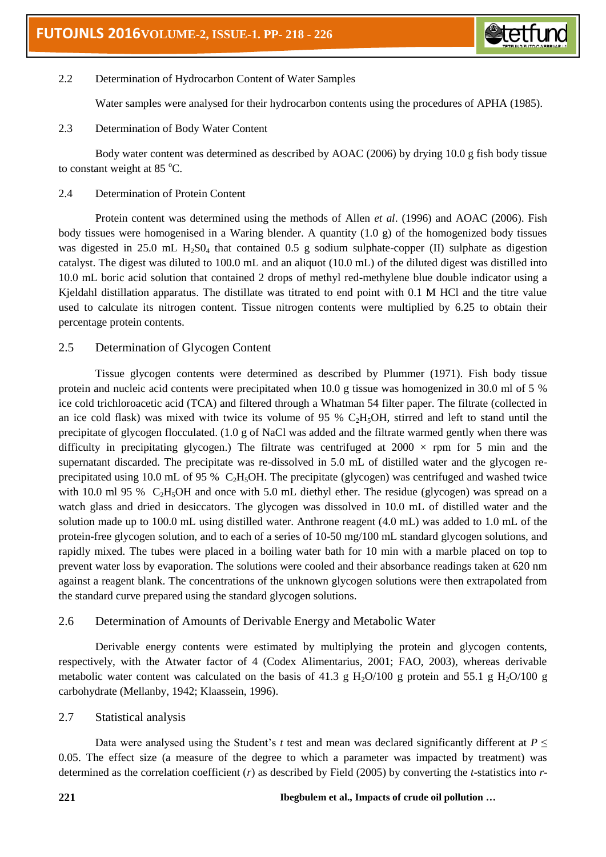

# 2.2 Determination of Hydrocarbon Content of Water Samples

Water samples were analysed for their hydrocarbon contents using the procedures of APHA (1985).

2.3 Determination of Body Water Content

Body water content was determined as described by AOAC (2006) by drying 10.0 g fish body tissue to constant weight at  $85^{\circ}$ C.

# 2.4 Determination of Protein Content

Protein content was determined using the methods of Allen *et al*. (1996) and AOAC (2006). Fish body tissues were homogenised in a Waring blender. A quantity (1.0 g) of the homogenized body tissues was digested in 25.0 mL  $H_2SO_4$  that contained 0.5 g sodium sulphate-copper (II) sulphate as digestion catalyst. The digest was diluted to 100.0 mL and an aliquot (10.0 mL) of the diluted digest was distilled into 10.0 mL boric acid solution that contained 2 drops of methyl red-methylene blue double indicator using a Kjeldahl distillation apparatus. The distillate was titrated to end point with 0.1 M HCl and the titre value used to calculate its nitrogen content. Tissue nitrogen contents were multiplied by 6.25 to obtain their percentage protein contents.

# 2.5 Determination of Glycogen Content

Tissue glycogen contents were determined as described by Plummer (1971). Fish body tissue protein and nucleic acid contents were precipitated when 10.0 g tissue was homogenized in 30.0 ml of 5 % ice cold trichloroacetic acid (TCA) and filtered through a Whatman 54 filter paper. The filtrate (collected in an ice cold flask) was mixed with twice its volume of 95 %  $C_2H_5OH$ , stirred and left to stand until the precipitate of glycogen flocculated. (1.0 g of NaCl was added and the filtrate warmed gently when there was difficulty in precipitating glycogen.) The filtrate was centrifuged at  $2000 \times$  rpm for 5 min and the supernatant discarded. The precipitate was re-dissolved in 5.0 mL of distilled water and the glycogen reprecipitated using 10.0 mL of 95 % C<sub>2</sub>H<sub>5</sub>OH. The precipitate (glycogen) was centrifuged and washed twice with 10.0 ml 95 %  $C_2H_5OH$  and once with 5.0 mL diethyl ether. The residue (glycogen) was spread on a watch glass and dried in desiccators. The glycogen was dissolved in 10.0 mL of distilled water and the solution made up to 100.0 mL using distilled water. Anthrone reagent (4.0 mL) was added to 1.0 mL of the protein-free glycogen solution, and to each of a series of 10-50 mg/100 mL standard glycogen solutions, and rapidly mixed. The tubes were placed in a boiling water bath for 10 min with a marble placed on top to prevent water loss by evaporation. The solutions were cooled and their absorbance readings taken at 620 nm against a reagent blank. The concentrations of the unknown glycogen solutions were then extrapolated from the standard curve prepared using the standard glycogen solutions.

# 2.6 Determination of Amounts of Derivable Energy and Metabolic Water

Derivable energy contents were estimated by multiplying the protein and glycogen contents, respectively, with the Atwater factor of 4 (Codex Alimentarius, 2001; FAO, 2003), whereas derivable metabolic water content was calculated on the basis of 41.3 g H<sub>2</sub>O/100 g protein and 55.1 g H<sub>2</sub>O/100 g carbohydrate (Mellanby, 1942; Klaassein, 1996).

# 2.7 Statistical analysis

Data were analysed using the Student's *t* test and mean was declared significantly different at *P* ≤ 0.05. The effect size (a measure of the degree to which a parameter was impacted by treatment) was determined as the correlation coefficient (*r*) as described by Field (2005) by converting the *t*-statistics into *r*-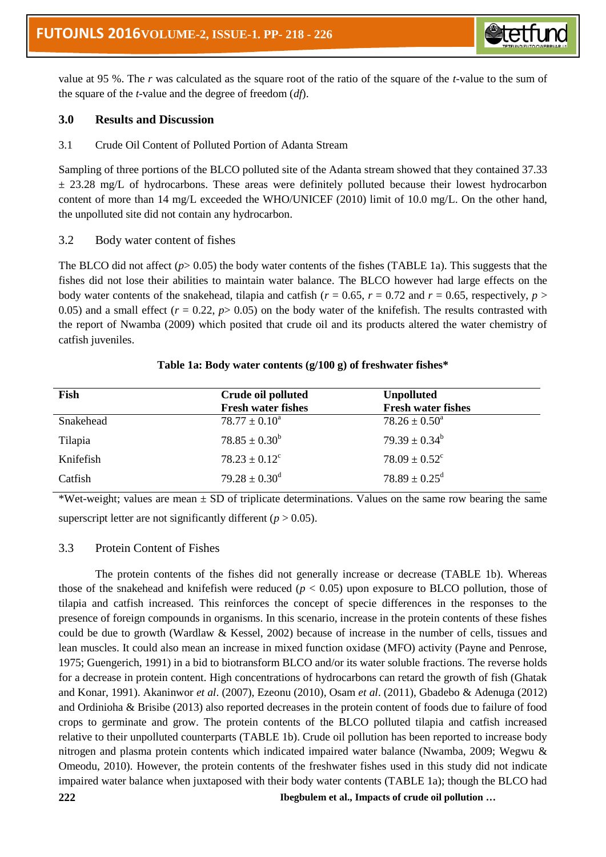value at 95 %. The *r* was calculated as the square root of the ratio of the square of the *t*-value to the sum of the square of the *t*-value and the degree of freedom (*df*).

*<u>etetfu</u>* 

# **3.0 Results and Discussion**

3.1 Crude Oil Content of Polluted Portion of Adanta Stream

Sampling of three portions of the BLCO polluted site of the Adanta stream showed that they contained 37.33  $\pm$  23.28 mg/L of hydrocarbons. These areas were definitely polluted because their lowest hydrocarbon content of more than 14 mg/L exceeded the WHO/UNICEF (2010) limit of 10.0 mg/L. On the other hand, the unpolluted site did not contain any hydrocarbon.

# 3.2 Body water content of fishes

The BLCO did not affect  $(p>0.05)$  the body water contents of the fishes (TABLE 1a). This suggests that the fishes did not lose their abilities to maintain water balance. The BLCO however had large effects on the body water contents of the snakehead, tilapia and catfish ( $r = 0.65$ ,  $r = 0.72$  and  $r = 0.65$ , respectively,  $p >$ 0.05) and a small effect  $(r = 0.22, p > 0.05)$  on the body water of the knifefish. The results contrasted with the report of Nwamba (2009) which posited that crude oil and its products altered the water chemistry of catfish juveniles.

| Fish      | Crude oil polluted        | <b>Unpolluted</b>             |
|-----------|---------------------------|-------------------------------|
|           | <b>Fresh water fishes</b> | <b>Fresh water fishes</b>     |
| Snakehead | $78.77 \pm 0.10^a$        | $78.26 \pm 0.50^{\circ}$      |
| Tilapia   | $78.85 \pm 0.30^b$        | $79.39 \pm 0.34^b$            |
| Knifefish | $78.23 \pm 0.12^c$        | $78.09 \pm 0.52$ <sup>c</sup> |
| Catfish   | $79.28 \pm 0.30^{\rm d}$  | $78.89 \pm 0.25$ <sup>d</sup> |

#### **Table 1a: Body water contents (g/100 g) of freshwater fishes\***

\*Wet-weight; values are mean  $\pm$  SD of triplicate determinations. Values on the same row bearing the same superscript letter are not significantly different  $(p > 0.05)$ .

## 3.3 Protein Content of Fishes

**222 Ibegbulem et al., Impacts of crude oil pollution …** The protein contents of the fishes did not generally increase or decrease (TABLE 1b). Whereas those of the snakehead and knifefish were reduced  $(p < 0.05)$  upon exposure to BLCO pollution, those of tilapia and catfish increased. This reinforces the concept of specie differences in the responses to the presence of foreign compounds in organisms. In this scenario, increase in the protein contents of these fishes could be due to growth (Wardlaw & Kessel, 2002) because of increase in the number of cells, tissues and lean muscles. It could also mean an increase in mixed function oxidase (MFO) activity (Payne and Penrose, 1975; Guengerich, 1991) in a bid to biotransform BLCO and/or its water soluble fractions. The reverse holds for a decrease in protein content. High concentrations of hydrocarbons can retard the growth of fish (Ghatak and Konar, 1991). Akaninwor *et al*. (2007), Ezeonu (2010), Osam *et al*. (2011), Gbadebo & Adenuga (2012) and Ordinioha & Brisibe (2013) also reported decreases in the protein content of foods due to failure of food crops to germinate and grow. The protein contents of the BLCO polluted tilapia and catfish increased relative to their unpolluted counterparts (TABLE 1b). Crude oil pollution has been reported to increase body nitrogen and plasma protein contents which indicated impaired water balance (Nwamba, 2009; Wegwu & Omeodu, 2010). However, the protein contents of the freshwater fishes used in this study did not indicate impaired water balance when juxtaposed with their body water contents (TABLE 1a); though the BLCO had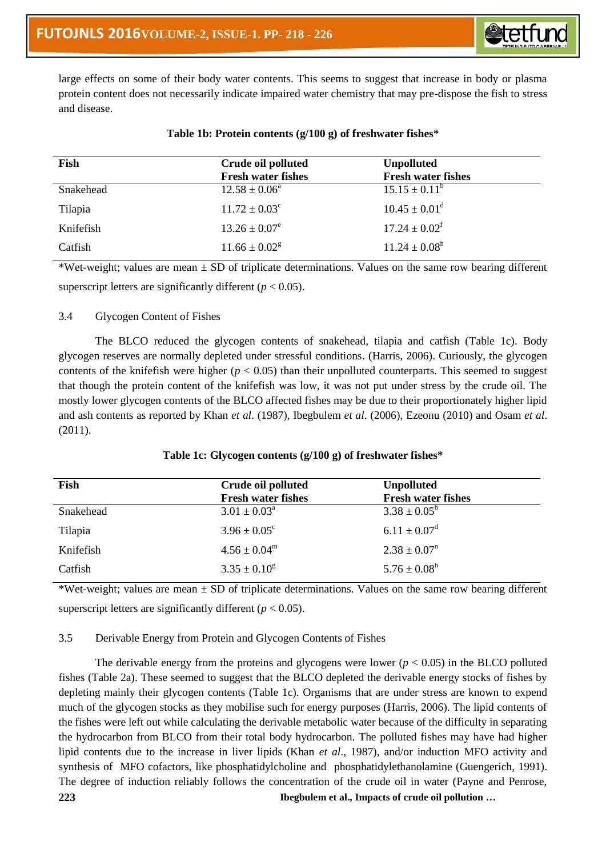

large effects on some of their body water contents. This seems to suggest that increase in body or plasma protein content does not necessarily indicate impaired water chemistry that may pre-dispose the fish to stress and disease.

| Fish      | Crude oil polluted<br><b>Fresh water fishes</b> | <b>Unpolluted</b><br><b>Fresh water fishes</b> |
|-----------|-------------------------------------------------|------------------------------------------------|
| Snakehead | $12.58 \pm 0.06^a$                              | $15.15 \pm 0.11^{\rm b}$                       |
| Tilapia   | $11.72 \pm 0.03^{\circ}$                        | $10.45 \pm 0.01^d$                             |
| Knifefish | $13.26 \pm 0.07^e$                              | $17.24 \pm 0.02^{\mathrm{f}}$                  |
| Catfish   | $11.66 \pm 0.02$ <sup>g</sup>                   | $11.24 \pm 0.08^{\rm h}$                       |

## **Table 1b: Protein contents (g/100 g) of freshwater fishes\***

\*Wet-weight; values are mean  $\pm$  SD of triplicate determinations. Values on the same row bearing different superscript letters are significantly different ( $p < 0.05$ ).

# 3.4 Glycogen Content of Fishes

The BLCO reduced the glycogen contents of snakehead, tilapia and catfish (Table 1c). Body glycogen reserves are normally depleted under stressful conditions. (Harris, 2006). Curiously, the glycogen contents of the knifefish were higher ( $p < 0.05$ ) than their unpolluted counterparts. This seemed to suggest that though the protein content of the knifefish was low, it was not put under stress by the crude oil. The mostly lower glycogen contents of the BLCO affected fishes may be due to their proportionately higher lipid and ash contents as reported by Khan *et al*. (1987), Ibegbulem *et al*. (2006), Ezeonu (2010) and Osam *et al*. (2011).

# **Table 1c: Glycogen contents (g/100 g) of freshwater fishes\***

| Fish      | Crude oil polluted<br><b>Fresh water fishes</b> | <b>Unpolluted</b><br><b>Fresh water fishes</b> |
|-----------|-------------------------------------------------|------------------------------------------------|
| Snakehead | $3.01 \pm 0.03^{\circ}$                         | $3.38 \pm 0.05^{\rm b}$                        |
| Tilapia   | $3.96 \pm 0.05^{\circ}$                         | $6.11 \pm 0.07^d$                              |
| Knifefish | $4.56 \pm 0.04^{\rm m}$                         | $2.38 \pm 0.07$ <sup>n</sup>                   |
| Catfish   | $3.35 \pm 0.10^8$                               | $5.76 \pm 0.08^{\rm h}$                        |

\*Wet-weight; values are mean  $\pm$  SD of triplicate determinations. Values on the same row bearing different superscript letters are significantly different ( $p < 0.05$ ).

## 3.5 Derivable Energy from Protein and Glycogen Contents of Fishes

**223 Ibegbulem et al., Impacts of crude oil pollution …** The derivable energy from the proteins and glycogens were lower ( $p < 0.05$ ) in the BLCO polluted fishes (Table 2a). These seemed to suggest that the BLCO depleted the derivable energy stocks of fishes by depleting mainly their glycogen contents (Table 1c). Organisms that are under stress are known to expend much of the glycogen stocks as they mobilise such for energy purposes (Harris, 2006). The lipid contents of the fishes were left out while calculating the derivable metabolic water because of the difficulty in separating the hydrocarbon from BLCO from their total body hydrocarbon. The polluted fishes may have had higher lipid contents due to the increase in liver lipids (Khan *et al*., 1987), and/or induction MFO activity and synthesis of MFO cofactors, like phosphatidylcholine and phosphatidylethanolamine (Guengerich, 1991). The degree of induction reliably follows the concentration of the crude oil in water (Payne and Penrose,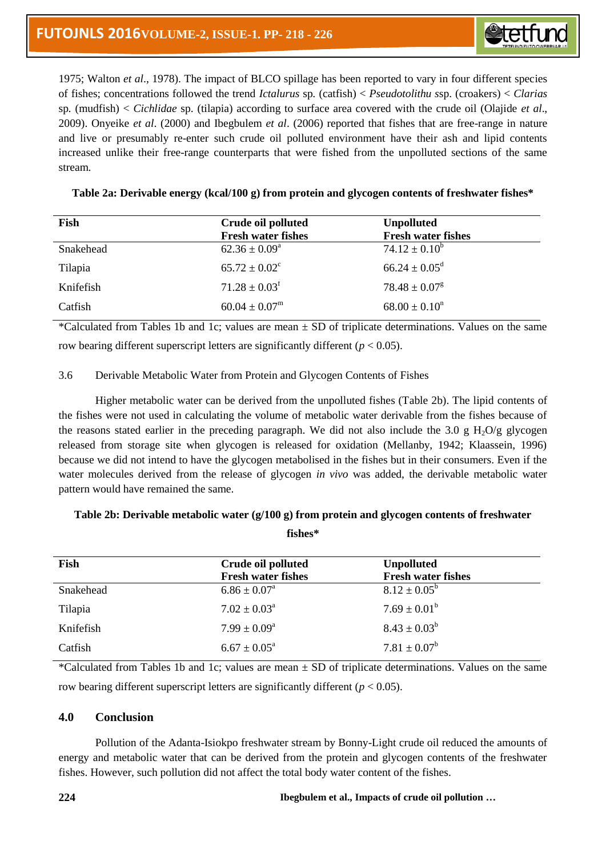

1975; Walton *et al*., 1978). The impact of BLCO spillage has been reported to vary in four different species of fishes; concentrations followed the trend *Ictalurus* sp*.* (catfish) < *Pseudotolithu s*sp. (croakers) < *Clarias* sp*.* (mudfish) < *Cichlidae* sp. (tilapia) according to surface area covered with the crude oil (Olajide *et al*., 2009). Onyeike *et al*. (2000) and Ibegbulem *et al*. (2006) reported that fishes that are free-range in nature and live or presumably re-enter such crude oil polluted environment have their ash and lipid contents increased unlike their free-range counterparts that were fished from the unpolluted sections of the same stream.

|  |  |  | Table 2a: Derivable energy (kcal/100 g) from protein and glycogen contents of freshwater fishes* |
|--|--|--|--------------------------------------------------------------------------------------------------|
|--|--|--|--------------------------------------------------------------------------------------------------|

| Fish      | Crude oil polluted<br><b>Fresh water fishes</b> | <b>Unpolluted</b><br><b>Fresh water fishes</b> |
|-----------|-------------------------------------------------|------------------------------------------------|
| Snakehead | $62.36 \pm 0.09^{\circ}$                        | $74.12 \pm 0.10^b$                             |
| Tilapia   | $65.72 \pm 0.02^{\circ}$                        | $66.24 \pm 0.05^{\rm d}$                       |
| Knifefish | $71.28 \pm 0.03$ <sup>f</sup>                   | $78.48 \pm 0.07$ <sup>g</sup>                  |
| Catfish   | $60.04 \pm 0.07^{\rm m}$                        | $68.00 \pm 0.10$ <sup>n</sup>                  |

\*Calculated from Tables 1b and 1c; values are mean ± SD of triplicate determinations. Values on the same row bearing different superscript letters are significantly different  $(p < 0.05)$ .

## 3.6 Derivable Metabolic Water from Protein and Glycogen Contents of Fishes

Higher metabolic water can be derived from the unpolluted fishes (Table 2b). The lipid contents of the fishes were not used in calculating the volume of metabolic water derivable from the fishes because of the reasons stated earlier in the preceding paragraph. We did not also include the 3.0 g  $H_2O/g$  glycogen released from storage site when glycogen is released for oxidation (Mellanby, 1942; Klaassein, 1996) because we did not intend to have the glycogen metabolised in the fishes but in their consumers. Even if the water molecules derived from the release of glycogen *in vivo* was added, the derivable metabolic water pattern would have remained the same.

| fishes*   |                                                 |                                                |  |
|-----------|-------------------------------------------------|------------------------------------------------|--|
| Fish      | Crude oil polluted<br><b>Fresh water fishes</b> | <b>Unpolluted</b><br><b>Fresh water fishes</b> |  |
| Snakehead | $6.86 \pm 0.07^{\text{a}}$                      | $8.12 \pm 0.05^{\rm b}$                        |  |
| Tilapia   | $7.02 \pm 0.03^{\text{a}}$                      | $7.69 \pm 0.01^b$                              |  |
| Knifefish | $7.99 \pm 0.09^{\rm a}$                         | $8.43 \pm 0.03^b$                              |  |

## **Table 2b: Derivable metabolic water (g/100 g) from protein and glycogen contents of freshwater**

\*Calculated from Tables 1b and 1c; values are mean  $\pm$  SD of triplicate determinations. Values on the same row bearing different superscript letters are significantly different ( $p < 0.05$ ).

## **4.0 Conclusion**

Catfish 6.67  $\pm 0.05^{\text{a}}$ 

Pollution of the Adanta-Isiokpo freshwater stream by Bonny-Light crude oil reduced the amounts of energy and metabolic water that can be derived from the protein and glycogen contents of the freshwater fishes. However, such pollution did not affect the total body water content of the fishes.

 $7.81 \pm 0.07^b$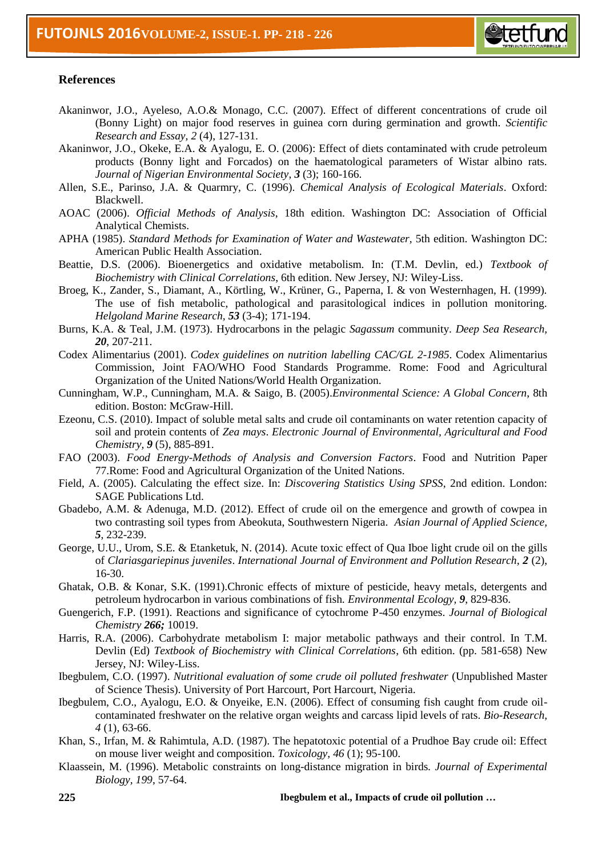

## **References**

- Akaninwor, J.O., Ayeleso, A.O.& Monago, C.C. (2007). Effect of different concentrations of crude oil (Bonny Light) on major food reserves in guinea corn during germination and growth. *Scientific Research and Essay, 2* (4), 127-131.
- Akaninwor, J.O., Okeke, E.A. & Ayalogu, E. O. (2006): Effect of diets contaminated with crude petroleum products (Bonny light and Forcados) on the haematological parameters of Wistar albino rats. *Journal of Nigerian Environmental Society*, *3* (3); 160-166.
- Allen, S.E., Parinso, J.A. & Quarmry, C. (1996). *Chemical Analysis of Ecological Materials*. Oxford: Blackwell.
- AOAC (2006). *Official Methods of Analysis*, 18th edition. Washington DC: Association of Official Analytical Chemists.
- APHA (1985). *Standard Methods for Examination of Water and Wastewater*, 5th edition. Washington DC: American Public Health Association.
- Beattie, D.S. (2006). Bioenergetics and oxidative metabolism. In: (T.M. Devlin, ed.) *Textbook of Biochemistry with Clinical Correlations*, 6th edition. New Jersey, NJ: Wiley-Liss.
- Broeg, K., Zander, S., Diamant, A., Körtling, W., Krüner, G., Paperna, I. & von Westernhagen, H. (1999). The use of fish metabolic, pathological and parasitological indices in pollution monitoring. *Helgoland Marine Research, 53* (3-4); 171-194.
- Burns, K.A. & Teal, J.M. (1973). Hydrocarbons in the pelagic *Sagassum* community. *Deep Sea Research, 20*, 207-211.
- Codex Alimentarius (2001). *Codex guidelines on nutrition labelling CAC/GL 2-1985*. Codex Alimentarius Commission, Joint FAO/WHO Food Standards Programme. Rome: Food and Agricultural Organization of the United Nations/World Health Organization.
- Cunningham, W.P., Cunningham, M.A. & Saigo, B. (2005).*Environmental Science: A Global Concern*, 8th edition. Boston: McGraw-Hill.
- Ezeonu, C.S. (2010). Impact of soluble metal salts and crude oil contaminants on water retention capacity of soil and protein contents of *Zea mays*. *Electronic Journal of Environmental, Agricultural and Food Chemistry, 9* (5), 885-891.
- FAO (2003). *Food Energy-Methods of Analysis and Conversion Factors*. Food and Nutrition Paper 77.Rome: Food and Agricultural Organization of the United Nations.
- Field, A. (2005). Calculating the effect size. In: *Discovering Statistics Using SPSS*, 2nd edition. London: SAGE Publications Ltd.
- Gbadebo, A.M. & Adenuga, M.D. (2012). Effect of crude oil on the emergence and growth of cowpea in two contrasting soil types from Abeokuta, Southwestern Nigeria. *Asian Journal of Applied Science, 5*, 232-239.
- George, U.U., Urom, S.E. & Etanketuk, N. (2014). Acute toxic effect of Qua Iboe light crude oil on the gills of *Clariasgariepinus juveniles*. *International Journal of Environment and Pollution Research, 2* (2), 16-30.
- Ghatak, O.B. & Konar, S.K. (1991).Chronic effects of mixture of pesticide, heavy metals, detergents and petroleum hydrocarbon in various combinations of fish. *Environmental Ecology, 9*, 829-836.
- Guengerich, F.P. (1991). Reactions and significance of cytochrome P-450 enzymes. *Journal of Biological Chemistry 266;* 10019.
- Harris, R.A. (2006). Carbohydrate metabolism I: major metabolic pathways and their control. In T.M. Devlin (Ed) *Textbook of Biochemistry with Clinical Correlations*, 6th edition. (pp. 581-658) New Jersey, NJ: Wiley-Liss.
- Ibegbulem, C.O. (1997). *Nutritional evaluation of some crude oil polluted freshwater* (Unpublished Master of Science Thesis). University of Port Harcourt, Port Harcourt, Nigeria.
- Ibegbulem, C.O., Ayalogu, E.O. & Onyeike, E.N. (2006). Effect of consuming fish caught from crude oilcontaminated freshwater on the relative organ weights and carcass lipid levels of rats. *Bio-Research, 4* (1), 63-66.
- Khan, S., Irfan, M. & Rahimtula, A.D. (1987). The hepatotoxic potential of a Prudhoe Bay crude oil: Effect on mouse liver weight and composition. *Toxicology, 46* (1); 95-100.
- Klaassein, M. (1996). Metabolic constraints on long-distance migration in birds. *Journal of Experimental Biology, 199*, 57-64.